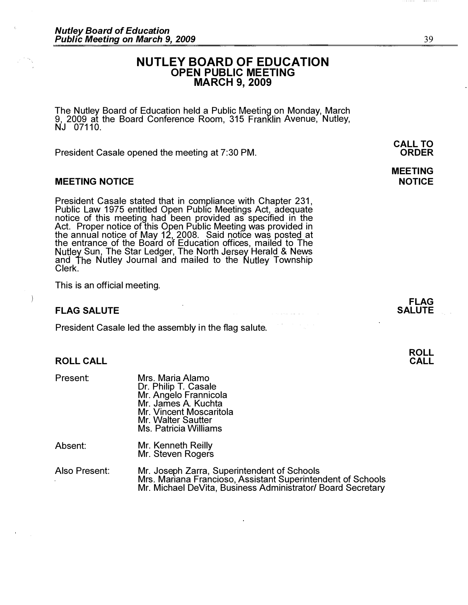# NUTLEY BOARD OF EDUCATION OPEN PUBLIC MEETING MARCH 9, 2009

The Nutley Board of Education held a Public Meeting on Monday, March 9, 2009 at the Board Conference Room, 315 Franklin Avenue, Nutley,  $NJ$  07110.

President Casale opened the meeting at 7:30 PM.

# MEETING NOTICE

President Casale stated that in compliance with Chapter 231, Public Law 1975 entitled Open Public Meetings Act, adequate notice of this meeting had been provided as specified in the Act. Proper notice of this Open Public Meeting was provided in the annual notice of May 12, 2008. Said notice was posted at the entrance of the Board of Education offices, mailed to The Sun, The Star Ledger, The North Jersey Herald & News and The Nutley Journal and mailed to the Nutley Township Clerk.

This is an official meeting.

# FLAG SALUTE

President Casale led the assembly in the flag salute.

#### ROLL CALL

| <b>Present:</b> | Mrs. Maria Alamo<br>Dr. Philip T. Casale<br>Mr. Angelo Frannicola<br>Mr. James A. Kuchta<br>Mr. Vincent Moscaritola<br>Mr. Walter Sautter<br><b>Ms. Patricia Williams</b> |
|-----------------|---------------------------------------------------------------------------------------------------------------------------------------------------------------------------|
| Absent:         | Mr. Kenneth Reilly                                                                                                                                                        |

| וושט. | <b>IVII. NEHIJELII NEHIY</b> |
|-------|------------------------------|
|       | Mr. Steven Rogers            |

Also Present: Mr. Joseph Zarra, Superintendent of Schools Mrs. Mariana Francioso, Assistant Superintendent of Schools Mr. Michael DeVita, Business Administrator/ Board Secretary 39

CALL TO ORDER

# MEETING **NOTICE**

FLAG SALUTE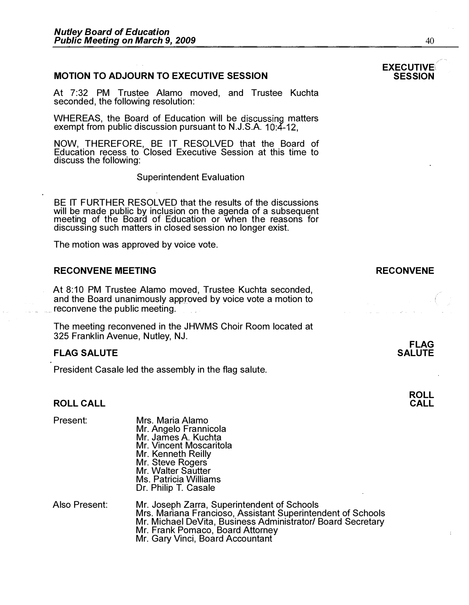### MOTION TO ADJOURN TO EXECUTIVE SESSION

At 7:32 PM Trustee Alamo moved, and Trustee Kuchta seconded, the following resolution:

WHEREAS, the Board of Education will be discussing matters exempt from public discussion pursuant to N.J.S.A. 10:4-12.

NOW, THEREFORE, BE IT RESOLVED that the Board of Education recess to Closed Executive Session at this time to discuss the following:

Superintendent Evaluation

BE IT FURTHER RESOLVED that the results of the discussions will be made public by inclusion on the agenda of a subsequent meeting of the Board of Education or when the reasons for discussing such matters in closed session no longer exist.

The motion was approved by voice vote.

#### RECONVENE MEETING

At 8:10 PM Trustee Alamo moved, Trustee Kuchta seconded, and the Board unanimously approved by voice vote a motion to reconvene the public meeting.

The meeting reconvened in the JHWMS Choir Room located at 325 Franklin Avenue, Nutley, NJ.

### FLAG SALUTE

President Casale led the assembly in the flag salute.

Mrs. Maria Alamo

# ROLL CALL

Present:

|               | Mr. Angelo Frannicola<br>Mr. James A. Kuchta<br>Mr. Vincent Moscaritola<br>Mr. Kenneth Reilly<br>Mr. Steve Rogers<br>Mr. Walter Sautter<br>Ms. Patricia Williams<br>Dr. Philip T. Casale                                                          |
|---------------|---------------------------------------------------------------------------------------------------------------------------------------------------------------------------------------------------------------------------------------------------|
| Also Present: | Mr. Joseph Zarra, Superintendent of Schools<br>Mrs. Mariana Francioso, Assistant Superintendent of Schools<br>Mr. Michael DeVita, Business Administrator/ Board Secretary<br>Mr. Frank Pomaco, Board Attorney<br>Mr. Gary Vinci, Board Accountant |



40

# RECONVENE



FLAG **SALUTE** 

> ROLL CALL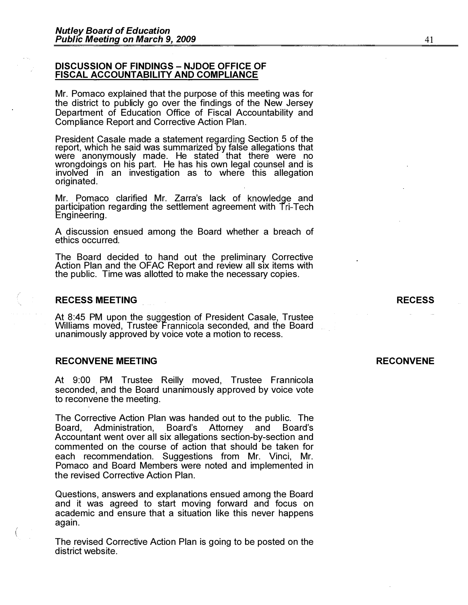#### DISCUSSION OF FINDINGS - NJDOE OFFICE OF FISCAL ACCOUNTABILITY AND COMPLIANCE

Mr. Pomaco explained that the purpose of this meeting was for the district to publicly go over the findings of the New Jersey Department of Education Office of Fiscal Accountability and Compliance Report and Corrective Action Plan.

President Casale made a statement regarding Section 5 of the report, which he said was summarized by false allegations that were anonymously made. He stated that there were no wrongdoings on his part. He has his own legal counsel and is involved in an investigation as to where this allegation originated.

Mr. Pomaco clarified Mr. Zarra's lack of knowledge and participation regarding the settlement agreement with Tri-Tech Engineering.

A discussion ensued among the Board whether a breach of ethics occurred.

The Board decided to hand out the preliminary Corrective Action Plan and the OFAC Report and review all six items with the public. Time was allotted to make the necessary copies.

# RECESS MEETING

,-

 $\binom{1}{2}$ 

At 8:45 PM upon the suggestion of President Casale, Trustee Williams moved, Trustee Frannicola seconded, and the Board unanimously approved by voice vote a motion to recess.

#### RECONVENE MEETING

At 9:00 PM Trustee Reilly moved, Trustee Frannicola seconded, and the Board unanimously approved by voice vote to reconvene the meeting.

The Corrective Action Plan was handed out to the public. The Board's discords board's Administration, Accountant went over all six allegations section-by-section and commented on the course of action that should be taken for each recommendation. Suggestions from Mr. Vinci, Mr. Pomaco and Board Members were noted and implemented in the revised Corrective Action Plan.

Questions, answers and explanations ensued among the Board and it was agreed to start moving forward and focus on academic and ensure that a situation like this never happens again.

The revised Corrective Action Plan is going to be posted on the district website.

#### RECONVENE

RECESS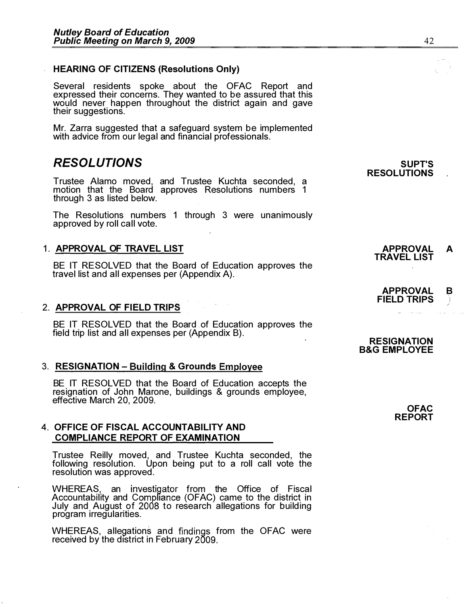# HEARING OF CITIZENS (Resolutions Only)

Several residents spoke about the OFAC Report and expressed their concerns. They wanted to be assured that this would never happen throughout the district again and gave their suggestions.

Mr. Zarra suggested that a safeguard system be implemented with advice from our legal and financial professionals.

# RESOLUTIONS

Trustee Alamo moved, and Trustee Kuchta seconded, a motion that the Board approves Resolutions numbers 1 through 3 as listed below.

The Resolutions numbers 1 through 3 were unanimously approved by roll call vote.

# 1. APPROVAL OF TRAVEL LIST

BE IT RESOLVED that the Board of Education approves the travel list and all expenses per (Appendix A).

# 2. APPROVAL OF FIELD TRIPS

BE IT RESOLVED that the Board of Education approves the field trip list and all expenses per (Appendix B).

# 3. RESIGNATION - Building & Grounds Employee

BE IT RESOLVED that the Board of Education accepts the resignation of John Marone, buildings & grounds employee, effective March 20, 2009.

# 4. OFFICE OF FISCAL ACCOUNTABILITY AND COMPLIANCE REPORT OF EXAMINATION

Trustee Reilly moved, and Trustee Kuchta seconded, the following resolution. Upon being put to a roll call vote the resolution was approved.

WHEREAS, an investigator from the Office of Fiscal Accountability and Compliance (OFAC) came to the district in July and August of 2008 to research allegations for building program irregularities.

WHEREAS, allegations and findings from the OFAC were received by the district in February 2009.

#### SUPT'S RESOLUTIONS

# APPROVAL B **FIELD TRIPS**

TRAVEL LIST

APPROVAL A

#### **RESIGNATION** B&G EMPLOYEE

**OFAC** REPORT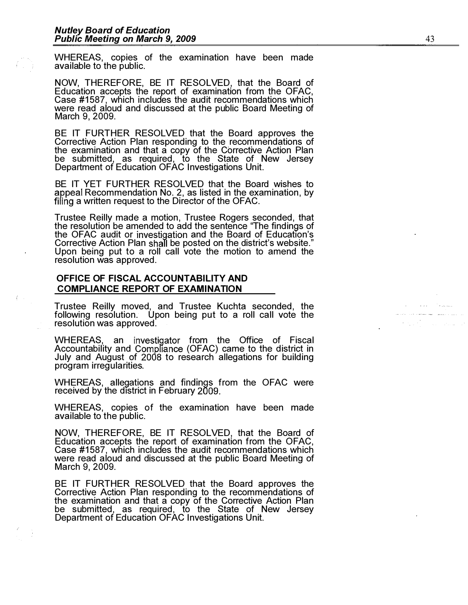WHEREAS, copies of the examination have been made available to the public.

NOW, THEREFORE, BE IT RESOLVED, that the Board of Education accepts the report of examination from the OFAC, Case #1587, which includes the audit recommendations which were read aloud and discussed at the public Board Meeting of March 9, 2009.

BE IT FU RTHER RESO LVED that the Board approves the Corrective Action Plan responding to the recommendations of the examination and that a copy of the Corrective Action Plan be submitted, as required, to the State of New Jersey Department of Education OFAC Investigations Unit.

BE IT YET FU RTHER RESOLVED that the Board wishes to Recommendation No . 2, as listed in the examination, by a written request to the Director of the OFAC.

Trustee Reilly made a motion, Trustee Rogers seconded, that the resolution be amended to add the sentence "The findings of the OFAC audit or investigation and the Board of Education's Corrective Action Plan shall be posted on the district's website." Upon being put to a roll call vote the motion to amend the resolution was approved .

# OFFICE OF FISCAL ACCOUNTABILITY AND COMPLIANCE REPORT OF EXAMINATION

Trustee Reilly moved, and Trustee Kuchta seconded, the following resolution. Upon being put to a roll call vote the resolution was approved .

WHEREAS, an investigator from the Office of Fiscal Accountability and Compliance (OFAC) came to the district in July and August of 2008 to research allegations for building program irregularities.

WHEREAS, allegations and findings from the OFAC were received by the district in February

WHEREAS, copies of the examination have been made available to the public.

NOW, THEREFORE, BE IT RESOLVED, that the Board of Education accepts the report of examination from the OFAC, Case #1587, which includes the audit recommendations which were read aloud and discussed at the public Board Meeting of March 9, 2009.

BE IT FU RTHER RESOLVED that the Board approves the Corrective Action Plan responding to the recommendations of the examination and that a copy of the Corrective Action Plan be submitted, as required, to the State of New Jersey Department of Education OFAC Investigations Unit.

 $\sim 100$ والمتنفي الصامط فلاح والان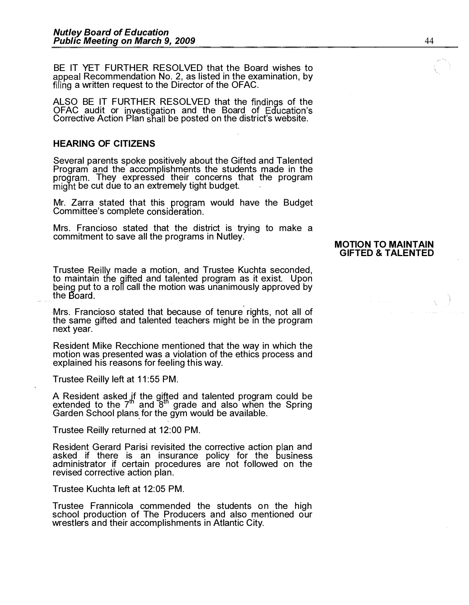BE IT YET FURTHER RESOLVED that the Board wishes to appeal Recommendation No. 2, as listed in the examination, by filing a written request to the Director of the OFAC.

ALSO BE IT FURTHER RESOLVED that the findings of the OFAC audit or investigation and the Board of Education's Corrective Action Plan shall be posted on the district's website.

## HEARING OF CITIZENS

Several parents spoke positively about the Gifted and Talented Program and the accomplishments the students made in the program. They expressed their concerns that the program might be cut due to an extremely tight budget.

Mr. Zarra stated that this program would have the Budget Committee's complete

Mrs. Francioso stated that the district is trying to make a commitment to save all the programs in Nutley.

Trustee Reilly made a motion, and Trustee Kuchta seconded, to maintain the gifted and talented program as it exist. Upon put to a call the motion was unanimously approved by the Board.

Mrs; Francioso stated that because of tenure rights, not all of the same gifted and talented teachers might be in the program next year.

Resident Mike Recchione mentioned that the way in which the motion was presented was a violation of the ethics process and explained his reasons for feeling this way.

Trustee Reilly left at 11:55 PM.

A Resident asked if the gifted and talented program could be extended to the  $7^{\text{th}}$  and  $8^{\text{th}}$  grade and also when the Spring Garden School plans for the gym would be available.

Trustee Reilly returned at 12:00 PM.

Resident Gerard Parisi revisited the corrective action plan and asked if there is an insurance policy for the administrator if certain procedures are not followed on the revised corrective action plan.

Trustee Kuchta left at 12:05 PM.

Trustee Frannicola commended the students on the high school production of The Producers and also mentioned our wrestler's and their accomplishments in Atlantic City.

#### MOTION TO MAINTAIN GIFTED & TALENTED